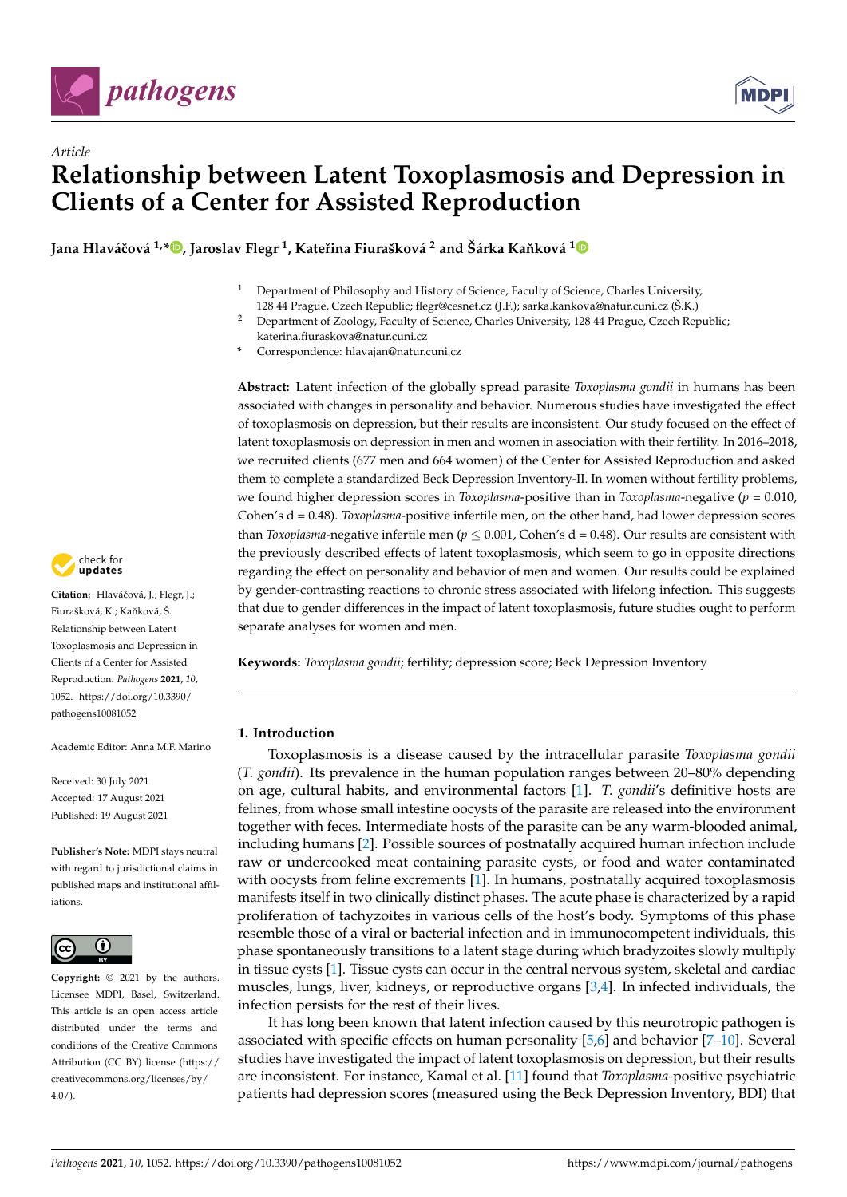



**Jana Hlaváˇcová 1,[\\*](https://orcid.org/0000-0002-2011-895X) , Jaroslav Flegr <sup>1</sup> , Kateˇrina Fiurašková <sup>2</sup> and Šárka Ka ˇnková [1](https://orcid.org/0000-0002-3087-7538)**

- <sup>1</sup> Department of Philosophy and History of Science, Faculty of Science, Charles University,
- 128 44 Prague, Czech Republic; flegr@cesnet.cz (J.F.); sarka.kankova@natur.cuni.cz (Š.K.) <sup>2</sup> Department of Zoology, Faculty of Science, Charles University, 128 44 Prague, Czech Republic;
- katerina.fiuraskova@natur.cuni.cz
- **\*** Correspondence: hlavajan@natur.cuni.cz

**Abstract:** Latent infection of the globally spread parasite *Toxoplasma gondii* in humans has been associated with changes in personality and behavior. Numerous studies have investigated the effect of toxoplasmosis on depression, but their results are inconsistent. Our study focused on the effect of latent toxoplasmosis on depression in men and women in association with their fertility. In 2016–2018, we recruited clients (677 men and 664 women) of the Center for Assisted Reproduction and asked them to complete a standardized Beck Depression Inventory-II. In women without fertility problems, we found higher depression scores in *Toxoplasma*-positive than in *Toxoplasma*-negative ( $p = 0.010$ , Cohen's d = 0.48). *Toxoplasma*-positive infertile men, on the other hand, had lower depression scores than *Toxoplasma*-negative infertile men ( $p \le 0.001$ , Cohen's d = 0.48). Our results are consistent with the previously described effects of latent toxoplasmosis, which seem to go in opposite directions regarding the effect on personality and behavior of men and women. Our results could be explained by gender-contrasting reactions to chronic stress associated with lifelong infection. This suggests that due to gender differences in the impact of latent toxoplasmosis, future studies ought to perform separate analyses for women and men.

**Keywords:** *Toxoplasma gondii*; fertility; depression score; Beck Depression Inventory

# **1. Introduction**

Toxoplasmosis is a disease caused by the intracellular parasite *Toxoplasma gondii* (*T. gondii*). Its prevalence in the human population ranges between 20–80% depending on age, cultural habits, and environmental factors [\[1\]](#page-8-0). *T. gondii*'s definitive hosts are felines, from whose small intestine oocysts of the parasite are released into the environment together with feces. Intermediate hosts of the parasite can be any warm-blooded animal, including humans [\[2\]](#page-8-1). Possible sources of postnatally acquired human infection include raw or undercooked meat containing parasite cysts, or food and water contaminated with oocysts from feline excrements [\[1\]](#page-8-0). In humans, postnatally acquired toxoplasmosis manifests itself in two clinically distinct phases. The acute phase is characterized by a rapid proliferation of tachyzoites in various cells of the host's body. Symptoms of this phase resemble those of a viral or bacterial infection and in immunocompetent individuals, this phase spontaneously transitions to a latent stage during which bradyzoites slowly multiply in tissue cysts [\[1\]](#page-8-0). Tissue cysts can occur in the central nervous system, skeletal and cardiac muscles, lungs, liver, kidneys, or reproductive organs [\[3](#page-8-2)[,4\]](#page-8-3). In infected individuals, the infection persists for the rest of their lives.

It has long been known that latent infection caused by this neurotropic pathogen is associated with specific effects on human personality [\[5](#page-8-4)[,6\]](#page-8-5) and behavior [\[7–](#page-8-6)[10\]](#page-8-7). Several studies have investigated the impact of latent toxoplasmosis on depression, but their results are inconsistent. For instance, Kamal et al. [\[11\]](#page-8-8) found that *Toxoplasma*-positive psychiatric patients had depression scores (measured using the Beck Depression Inventory, BDI) that



Citation: Hlaváčová, J.; Flegr, J.; Fiurašková, K.; Kaňková, Š. Relationship between Latent Toxoplasmosis and Depression in Clients of a Center for Assisted Reproduction. *Pathogens* **2021**, *10*, 1052. [https://doi.org/10.3390/](https://doi.org/10.3390/pathogens10081052) [pathogens10081052](https://doi.org/10.3390/pathogens10081052)

Academic Editor: Anna M.F. Marino

Received: 30 July 2021 Accepted: 17 August 2021 Published: 19 August 2021

**Publisher's Note:** MDPI stays neutral with regard to jurisdictional claims in published maps and institutional affiliations.



**Copyright:** © 2021 by the authors. Licensee MDPI, Basel, Switzerland. This article is an open access article distributed under the terms and conditions of the Creative Commons Attribution (CC BY) license (https:/[/](https://creativecommons.org/licenses/by/4.0/) [creativecommons.org/licenses/by/](https://creativecommons.org/licenses/by/4.0/)  $4.0/$ ).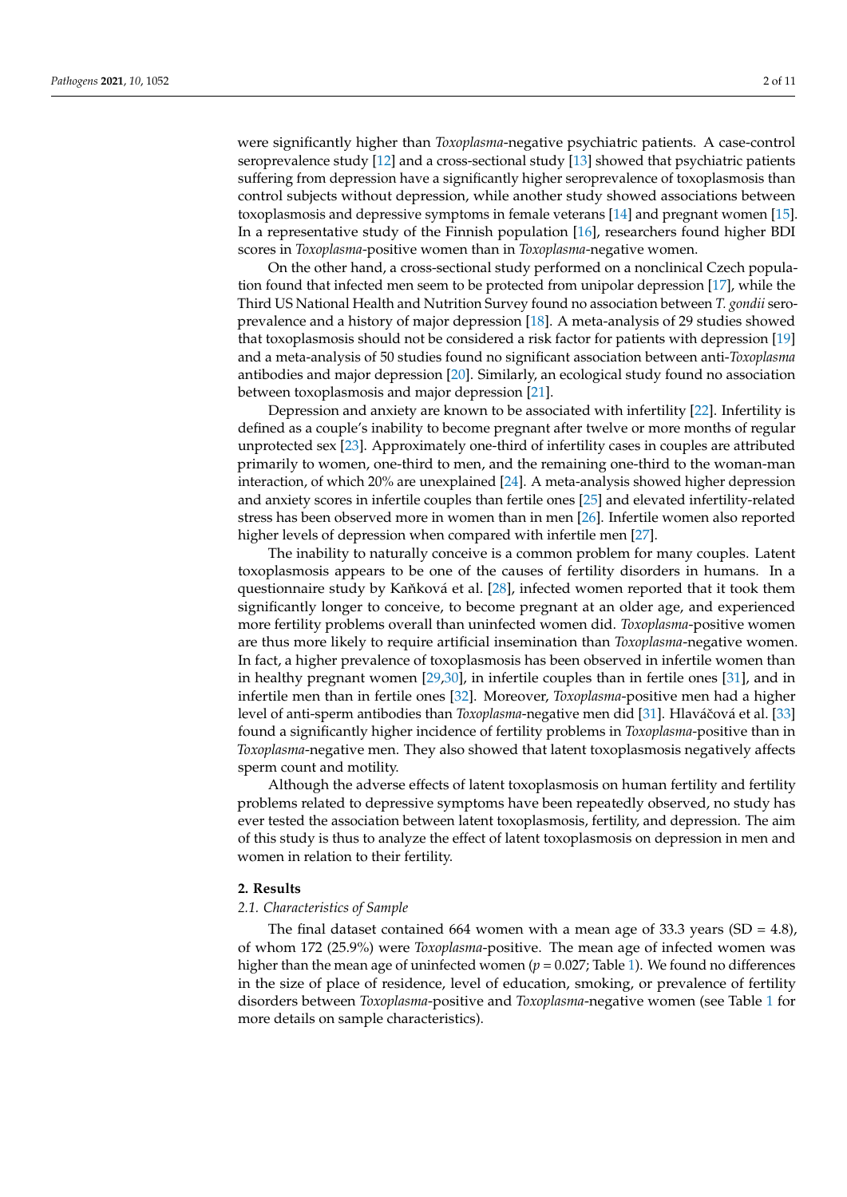were significantly higher than *Toxoplasma*-negative psychiatric patients. A case-control seroprevalence study [\[12\]](#page-8-9) and a cross-sectional study [\[13\]](#page-8-10) showed that psychiatric patients suffering from depression have a significantly higher seroprevalence of toxoplasmosis than control subjects without depression, while another study showed associations between toxoplasmosis and depressive symptoms in female veterans [\[14\]](#page-8-11) and pregnant women [\[15\]](#page-8-12). In a representative study of the Finnish population [\[16\]](#page-8-13), researchers found higher BDI scores in *Toxoplasma*-positive women than in *Toxoplasma*-negative women.

On the other hand, a cross-sectional study performed on a nonclinical Czech population found that infected men seem to be protected from unipolar depression [\[17\]](#page-8-14), while the Third US National Health and Nutrition Survey found no association between *T. gondii* seroprevalence and a history of major depression [\[18\]](#page-8-15). A meta-analysis of 29 studies showed that toxoplasmosis should not be considered a risk factor for patients with depression [\[19\]](#page-8-16) and a meta-analysis of 50 studies found no significant association between anti-*Toxoplasma* antibodies and major depression [\[20\]](#page-8-17). Similarly, an ecological study found no association between toxoplasmosis and major depression [\[21\]](#page-8-18).

Depression and anxiety are known to be associated with infertility [\[22\]](#page-8-19). Infertility is defined as a couple's inability to become pregnant after twelve or more months of regular unprotected sex [\[23\]](#page-8-20). Approximately one-third of infertility cases in couples are attributed primarily to women, one-third to men, and the remaining one-third to the woman-man interaction, of which 20% are unexplained [\[24\]](#page-9-0). A meta-analysis showed higher depression and anxiety scores in infertile couples than fertile ones [\[25\]](#page-9-1) and elevated infertility-related stress has been observed more in women than in men [\[26\]](#page-9-2). Infertile women also reported higher levels of depression when compared with infertile men [\[27\]](#page-9-3).

The inability to naturally conceive is a common problem for many couples. Latent toxoplasmosis appears to be one of the causes of fertility disorders in humans. In a questionnaire study by Kaňková et al. [\[28\]](#page-9-4), infected women reported that it took them significantly longer to conceive, to become pregnant at an older age, and experienced more fertility problems overall than uninfected women did. *Toxoplasma*-positive women are thus more likely to require artificial insemination than *Toxoplasma*-negative women. In fact, a higher prevalence of toxoplasmosis has been observed in infertile women than in healthy pregnant women [\[29](#page-9-5)[,30\]](#page-9-6), in infertile couples than in fertile ones [\[31\]](#page-9-7), and in infertile men than in fertile ones [\[32\]](#page-9-8). Moreover, *Toxoplasma*-positive men had a higher level of anti-sperm antibodies than *Toxoplasma*-negative men did [\[31\]](#page-9-7). Hlaváčová et al. [\[33\]](#page-9-9) found a significantly higher incidence of fertility problems in *Toxoplasma*-positive than in *Toxoplasma*-negative men. They also showed that latent toxoplasmosis negatively affects sperm count and motility.

Although the adverse effects of latent toxoplasmosis on human fertility and fertility problems related to depressive symptoms have been repeatedly observed, no study has ever tested the association between latent toxoplasmosis, fertility, and depression. The aim of this study is thus to analyze the effect of latent toxoplasmosis on depression in men and women in relation to their fertility.

#### **2. Results**

## *2.1. Characteristics of Sample*

The final dataset contained 664 women with a mean age of 33.3 years  $(SD = 4.8)$ , of whom 172 (25.9%) were *Toxoplasma*-positive. The mean age of infected women was higher than the mean age of uninfected women ( $p = 0.027$ ; Table [1\)](#page-2-0). We found no differences in the size of place of residence, level of education, smoking, or prevalence of fertility disorders between *Toxoplasma*-positive and *Toxoplasma*-negative women (see Table [1](#page-2-0) for more details on sample characteristics).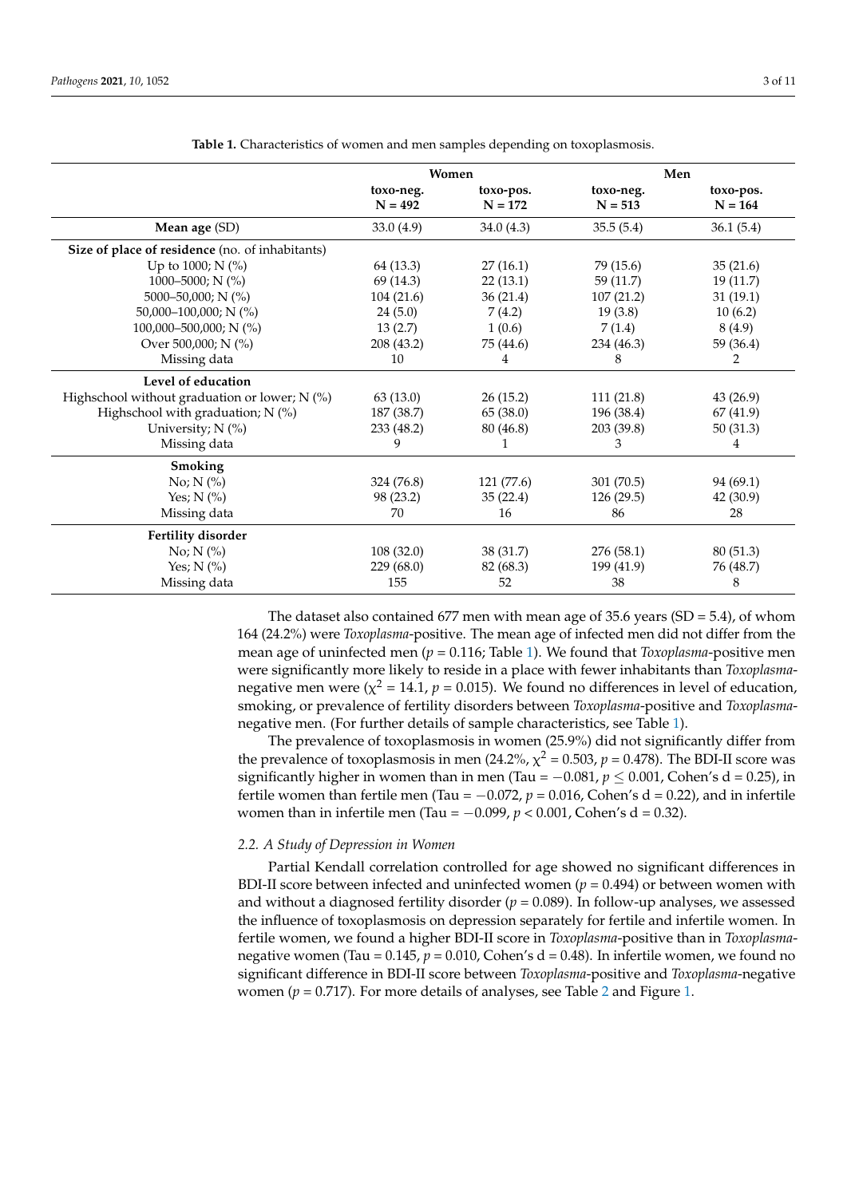<span id="page-2-0"></span>

|                                                 |            | Women      | Men        |           |  |  |
|-------------------------------------------------|------------|------------|------------|-----------|--|--|
|                                                 | toxo-neg.  | toxo-pos.  | toxo-neg.  | toxo-pos. |  |  |
|                                                 | $N = 492$  | $N = 172$  | $N = 513$  | $N = 164$ |  |  |
| Mean age (SD)                                   | 33.0(4.9)  | 34.0(4.3)  | 35.5(5.4)  | 36.1(5.4) |  |  |
| Size of place of residence (no. of inhabitants) |            |            |            |           |  |  |
| Up to 1000; N (%)                               | 64 (13.3)  | 27(16.1)   | 79 (15.6)  | 35(21.6)  |  |  |
| 1000-5000; N $(\% )$                            | 69 (14.3)  | 22(13.1)   | 59 (11.7)  | 19 (11.7) |  |  |
| 5000-50,000; N (%)                              | 104(21.6)  | 36(21.4)   | 107(21.2)  | 31(19.1)  |  |  |
| 50,000–100,000; N $(\% )$                       | 24(5.0)    | 7(4.2)     | 19(3.8)    | 10(6.2)   |  |  |
| 100,000-500,000; N (%)                          | 13(2.7)    | 1(0.6)     | 7(1.4)     | 8(4.9)    |  |  |
| Over 500,000; N (%)                             | 208 (43.2) | 75 (44.6)  | 234 (46.3) | 59 (36.4) |  |  |
| Missing data                                    | 10         | 4          | 8          | 2         |  |  |
| Level of education                              |            |            |            |           |  |  |
| Highschool without graduation or lower; N (%)   | 63(13.0)   | 26(15.2)   | 111(21.8)  | 43 (26.9) |  |  |
| Highschool with graduation; $N$ (%)             | 187 (38.7) | 65(38.0)   | 196 (38.4) | 67 (41.9) |  |  |
| University; N (%)                               | 233 (48.2) | 80 (46.8)  | 203 (39.8) | 50(31.3)  |  |  |
| Missing data                                    | 9          |            | 3          | 4         |  |  |
| Smoking                                         |            |            |            |           |  |  |
| $No; N$ $\left(\frac{9}{6}\right)$              | 324 (76.8) | 121 (77.6) | 301 (70.5) | 94 (69.1) |  |  |
| Yes; $N$ (%)                                    | 98 (23.2)  | 35(22.4)   | 126(29.5)  | 42 (30.9) |  |  |
| Missing data                                    | 70         | 16         | 86         | 28        |  |  |
| Fertility disorder                              |            |            |            |           |  |  |
| No; $N$ (%)                                     | 108(32.0)  | 38 (31.7)  | 276 (58.1) | 80(51.3)  |  |  |
| Yes; $N$ (%)                                    | 229 (68.0) | 82 (68.3)  | 199 (41.9) | 76 (48.7) |  |  |
| Missing data                                    | 155        | 52         | 38         | 8         |  |  |

**Table 1.** Characteristics of women and men samples depending on toxoplasmosis.

The dataset also contained 677 men with mean age of 35.6 years (SD = 5.4), of whom 164 (24.2%) were *Toxoplasma*-positive. The mean age of infected men did not differ from the mean age of uninfected men (*p* = 0.116; Table [1\)](#page-2-0). We found that *Toxoplasma*-positive men were significantly more likely to reside in a place with fewer inhabitants than *Toxoplasma*negative men were ( $\chi^2$  = 14.1,  $p$  = 0.015). We found no differences in level of education, smoking, or prevalence of fertility disorders between *Toxoplasma*-positive and *Toxoplasma*negative men. (For further details of sample characteristics, see Table [1\)](#page-2-0).

The prevalence of toxoplasmosis in women (25.9%) did not significantly differ from the prevalence of toxoplasmosis in men (24.2%,  $\chi^2$  = 0.503,  $p$  = 0.478). The BDI-II score was significantly higher in women than in men (Tau =  $-0.081$ ,  $p < 0.001$ , Cohen's d = 0.25), in fertile women than fertile men (Tau =  $-0.072$ ,  $p = 0.016$ , Cohen's d = 0.22), and in infertile women than in infertile men (Tau = −0.099, *p* < 0.001, Cohen's d = 0.32).

# *2.2. A Study of Depression in Women*

Partial Kendall correlation controlled for age showed no significant differences in BDI-II score between infected and uninfected women (*p* = 0.494) or between women with and without a diagnosed fertility disorder  $(p = 0.089)$ . In follow-up analyses, we assessed the influence of toxoplasmosis on depression separately for fertile and infertile women. In fertile women, we found a higher BDI-II score in *Toxoplasma*-positive than in *Toxoplasma*negative women (Tau =  $0.145$ ,  $p = 0.010$ , Cohen's d = 0.48). In infertile women, we found no significant difference in BDI-II score between *Toxoplasma*-positive and *Toxoplasma*-negative women ( $p = 0.717$ ). For more details of analyses, see Table [2](#page-3-0) and Figure [1.](#page-3-1)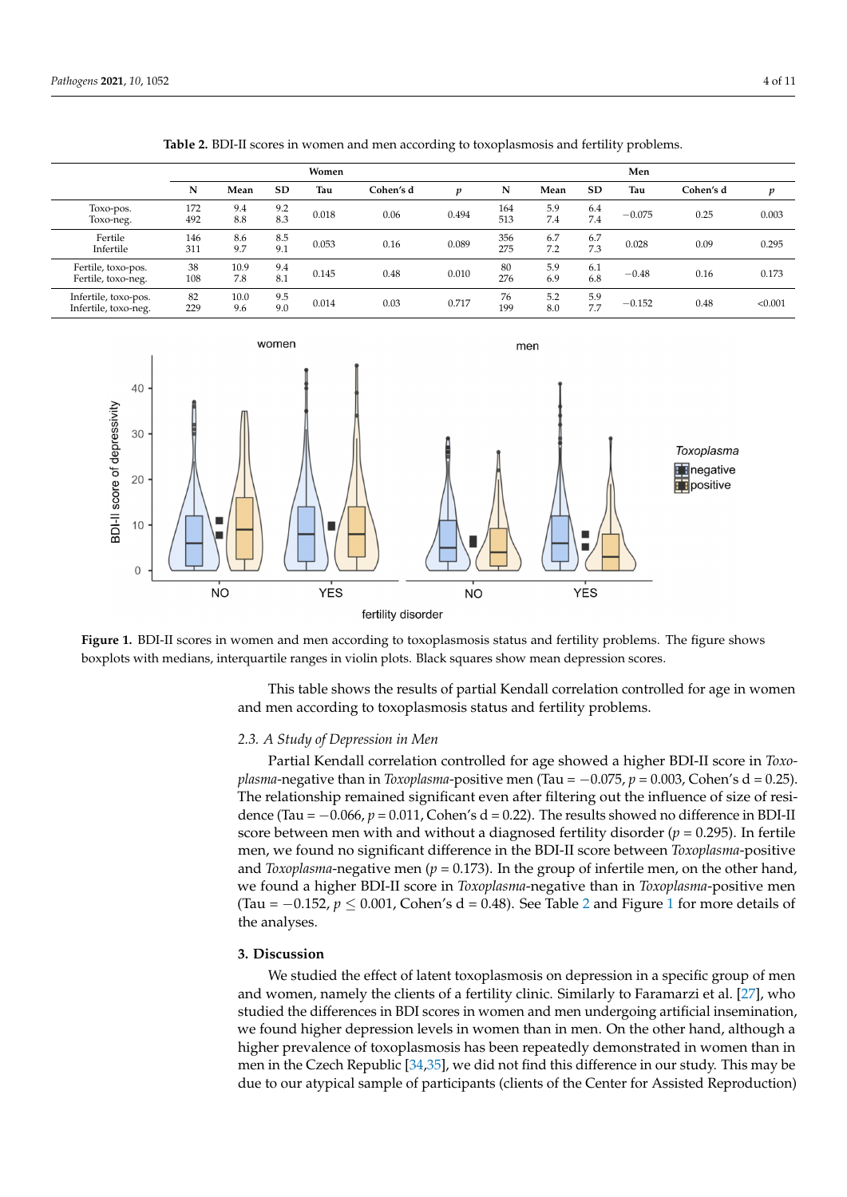<span id="page-3-0"></span>

|                                              | Women      |             |            |       |           |       | Men        |            |            |          |           |         |
|----------------------------------------------|------------|-------------|------------|-------|-----------|-------|------------|------------|------------|----------|-----------|---------|
|                                              | N          | Mean        | <b>SD</b>  | Tau   | Cohen's d | p     | N          | Mean       | <b>SD</b>  | Tau      | Cohen's d | p       |
| Toxo-pos.<br>Toxo-neg.                       | 172<br>492 | 9.4<br>8.8  | 9.2<br>8.3 | 0.018 | 0.06      | 0.494 | 164<br>513 | 5.9<br>7.4 | 6.4<br>7.4 | $-0.075$ | 0.25      | 0.003   |
| Fertile<br>Infertile                         | 146<br>311 | 8.6<br>9.7  | 8.5<br>9.1 | 0.053 | 0.16      | 0.089 | 356<br>275 | 6.7<br>7.2 | 6.7<br>7.3 | 0.028    | 0.09      | 0.295   |
| Fertile, toxo-pos.<br>Fertile, toxo-neg.     | 38<br>108  | 10.9<br>7.8 | 9.4<br>8.1 | 0.145 | 0.48      | 0.010 | 80<br>276  | 5.9<br>6.9 | 6.1<br>6.8 | $-0.48$  | 0.16      | 0.173   |
| Infertile, toxo-pos.<br>Infertile, toxo-neg. | 82<br>229  | 10.0<br>9.6 | 9.5<br>9.0 | 0.014 | 0.03      | 0.717 | 76<br>199  | 5.2<br>8.0 | 5.9<br>7.7 | $-0.152$ | 0.48      | < 0.001 |

**Table 2.** BDI-II scores in women and men according to toxoplasmosis and fertility problems.  $T<sub>1</sub>$  9.4  $\frac{1}{2}$  9.4  $\frac{1}{2}$  9.494 164  $\frac{1}{2}$  9.4  $\frac{1}{2}$  7.4  $\frac{1}{2}$  8.4  $\frac{1}{2}$  7.4  $\frac{1}{2}$  7.4  $\frac{1}{2}$  7.4  $\frac{1}{2}$  7.4  $\frac{1}{2}$  7.4  $\frac{1}{2}$  7.4  $\frac{1}{2}$  7.4  $\frac{1}{2}$  7.4  $\frac{1}{2}$  7.4  $\frac{$ 

**N Mean SD Tau Cohen's d** *p* **N Mean SD Tau Cohen's d** *p*

<span id="page-3-1"></span>

fertility disorder

boxplots with medians, interquartile ranges in violin plots. Black squares show mean depression scores.  $\mathbf{b}$  is the median dependent plots. Black show mean dependent plots. Black show mean  $\mathbf{b}$  means show means show means show means show means show means show means show means show means show means show means show me **Figure 1.** BDI-II scores in women and men according to toxoplasmosis status and fertility problems. The figure shows

and men according to toxoplasmosis status and fertility problems. This table shows the results of partial Kendall correlation controlled for age in women

# 2.3. A Study of Depression in Men

Partial Kendall correlation controlled for age showed a higher BDI-II score in *Toxoplasma*-negative than in *Toxoplasma*-positive men (Tau =  $-0.075$ ,  $p = 0.003$ , Cohen's d = 0.25). The relationship remained significant even after filtering out the influence of size of residence (Tau =  $-0.066$ ,  $p = 0.011$ , Cohen's d = 0.22). The results showed no difference in BDI-II score between men with and without a diagnosed fertility disorder ( $p = 0.295$ ). In fertile men, we found no significant difference in the BDI-II score between *Toxoplasma*-positive and *Toxoplasma*-negative men ( $p = 0.173$ ). In the group of infertile men, on the other hand, we found a higher BDI-II score in *Toxoplasma*-negative than in *Toxoplasma*-positive men **3. Discussion**  the analyses. (Tau =  $-0.152$  $-0.152$ ,  $p \le 0.001$  $p \le 0.001$ , Cohen's d = 0.48). See Table 2 and Figure 1 for more details of

#### $W_{\text{EQUSE}}$ **3. Discussion**

men and women, namely the clients of a fertility clinic. Similarly to Faramarzi et al. [27], We studied the effect of latent toxoplasmosis on depression in a specific group of men undergoing and men undergoing  $\frac{1}{2}$ and women, namely the clients of a fertility clinic. Similarly to Faramarzi et al. [\[27\]](#page-9-3), who studied the differences in BDI scores in women and men undergoing artificial insemination,<br>sue found higher demonstrated in women then in men. On the athen hand although a we found higher depression levels in women than in men. On the other hand, although a higher prevalence of toxoplasmosis has been repeatedly demonstrated in women than in men in the Czech Republic [\[34](#page-9-10)[,35\]](#page-9-11), we did not find this difference in our study. This may be due to our atypical sample of participants (clients of the Center for Assisted Reproduction)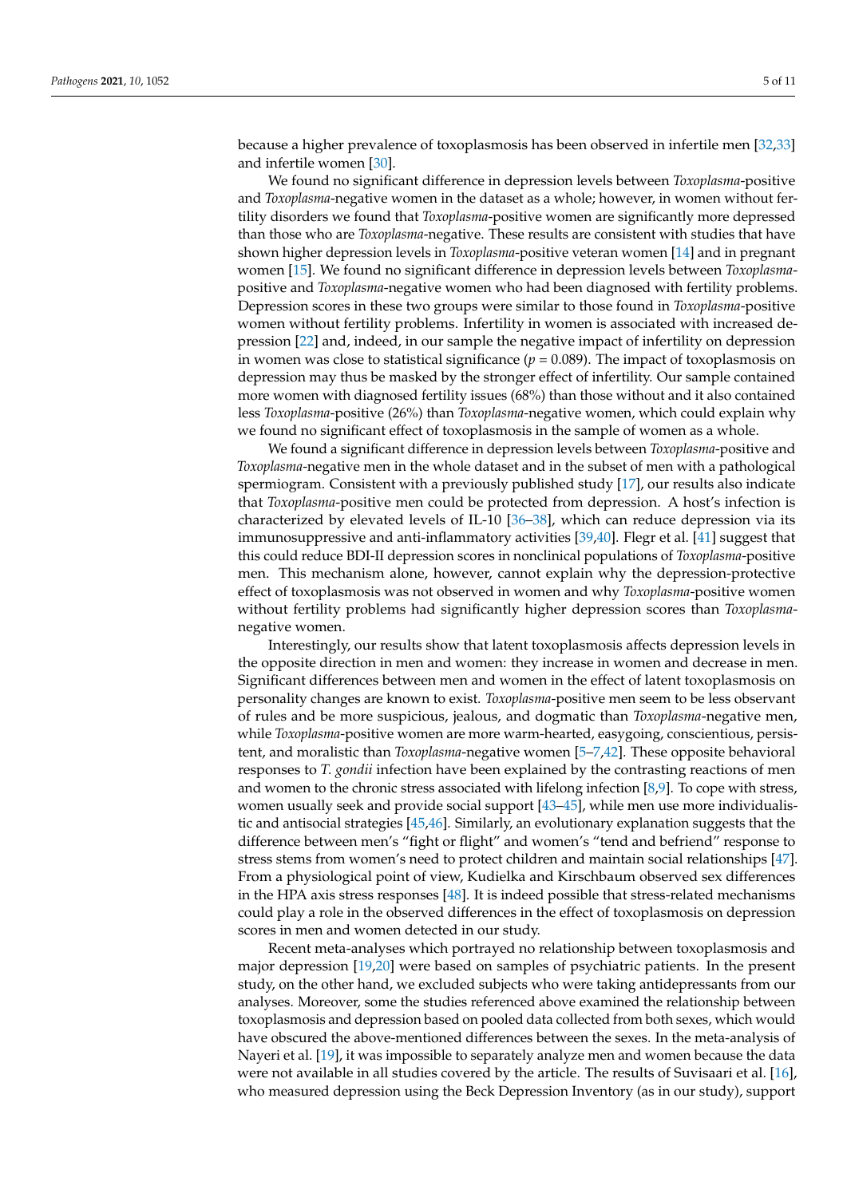because a higher prevalence of toxoplasmosis has been observed in infertile men [\[32](#page-9-8)[,33\]](#page-9-9) and infertile women [\[30\]](#page-9-6).

We found no significant difference in depression levels between *Toxoplasma*-positive and *Toxoplasma*-negative women in the dataset as a whole; however, in women without fertility disorders we found that *Toxoplasma*-positive women are significantly more depressed than those who are *Toxoplasma*-negative. These results are consistent with studies that have shown higher depression levels in *Toxoplasma*-positive veteran women [\[14\]](#page-8-11) and in pregnant women [\[15\]](#page-8-12). We found no significant difference in depression levels between *Toxoplasma*positive and *Toxoplasma*-negative women who had been diagnosed with fertility problems. Depression scores in these two groups were similar to those found in *Toxoplasma*-positive women without fertility problems. Infertility in women is associated with increased depression [\[22\]](#page-8-19) and, indeed, in our sample the negative impact of infertility on depression in women was close to statistical significance  $(p = 0.089)$ . The impact of toxoplasmosis on depression may thus be masked by the stronger effect of infertility. Our sample contained more women with diagnosed fertility issues (68%) than those without and it also contained less *Toxoplasma*-positive (26%) than *Toxoplasma*-negative women, which could explain why we found no significant effect of toxoplasmosis in the sample of women as a whole.

We found a significant difference in depression levels between *Toxoplasma*-positive and *Toxoplasma*-negative men in the whole dataset and in the subset of men with a pathological spermiogram. Consistent with a previously published study [\[17\]](#page-8-14), our results also indicate that *Toxoplasma*-positive men could be protected from depression. A host's infection is characterized by elevated levels of IL-10 [\[36–](#page-9-12)[38\]](#page-9-13), which can reduce depression via its immunosuppressive and anti-inflammatory activities [\[39,](#page-9-14)[40\]](#page-9-15). Flegr et al. [\[41\]](#page-9-16) suggest that this could reduce BDI-II depression scores in nonclinical populations of *Toxoplasma*-positive men. This mechanism alone, however, cannot explain why the depression-protective effect of toxoplasmosis was not observed in women and why *Toxoplasma*-positive women without fertility problems had significantly higher depression scores than *Toxoplasma*negative women.

Interestingly, our results show that latent toxoplasmosis affects depression levels in the opposite direction in men and women: they increase in women and decrease in men. Significant differences between men and women in the effect of latent toxoplasmosis on personality changes are known to exist. *Toxoplasma*-positive men seem to be less observant of rules and be more suspicious, jealous, and dogmatic than *Toxoplasma*-negative men, while *Toxoplasma*-positive women are more warm-hearted, easygoing, conscientious, persistent, and moralistic than *Toxoplasma*-negative women [\[5](#page-8-4)[–7,](#page-8-6)[42\]](#page-9-17). These opposite behavioral responses to *T. gondii* infection have been explained by the contrasting reactions of men and women to the chronic stress associated with lifelong infection [\[8,](#page-8-21)[9\]](#page-8-22). To cope with stress, women usually seek and provide social support [\[43](#page-9-18)[–45\]](#page-9-19), while men use more individualistic and antisocial strategies [\[45](#page-9-19)[,46\]](#page-9-20). Similarly, an evolutionary explanation suggests that the difference between men's "fight or flight" and women's "tend and befriend" response to stress stems from women's need to protect children and maintain social relationships [\[47\]](#page-9-21). From a physiological point of view, Kudielka and Kirschbaum observed sex differences in the HPA axis stress responses [\[48\]](#page-9-22). It is indeed possible that stress-related mechanisms could play a role in the observed differences in the effect of toxoplasmosis on depression scores in men and women detected in our study.

Recent meta-analyses which portrayed no relationship between toxoplasmosis and major depression [\[19,](#page-8-16)[20\]](#page-8-17) were based on samples of psychiatric patients. In the present study, on the other hand, we excluded subjects who were taking antidepressants from our analyses. Moreover, some the studies referenced above examined the relationship between toxoplasmosis and depression based on pooled data collected from both sexes, which would have obscured the above-mentioned differences between the sexes. In the meta-analysis of Nayeri et al. [\[19\]](#page-8-16), it was impossible to separately analyze men and women because the data were not available in all studies covered by the article. The results of Suvisaari et al. [\[16\]](#page-8-13), who measured depression using the Beck Depression Inventory (as in our study), support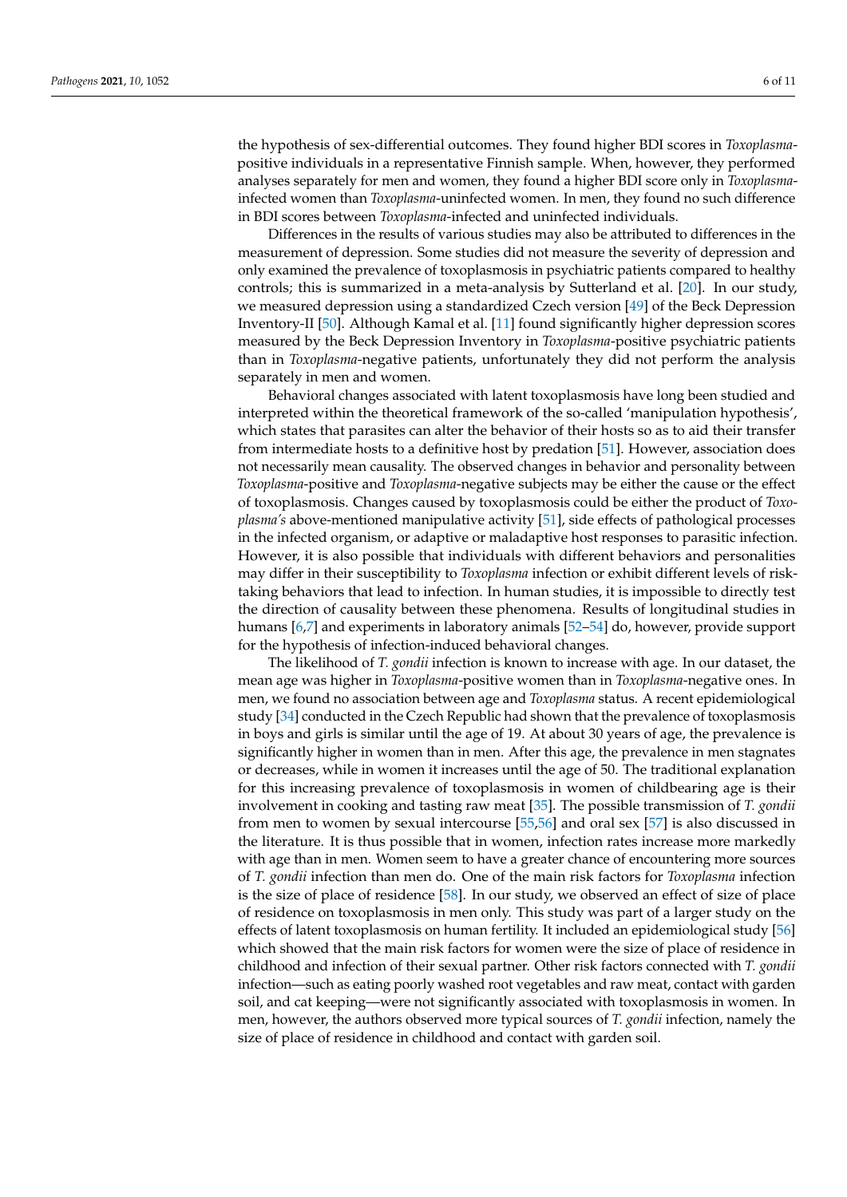the hypothesis of sex-differential outcomes. They found higher BDI scores in *Toxoplasma*positive individuals in a representative Finnish sample. When, however, they performed analyses separately for men and women, they found a higher BDI score only in *Toxoplasma*infected women than *Toxoplasma*-uninfected women. In men, they found no such difference in BDI scores between *Toxoplasma*-infected and uninfected individuals.

Differences in the results of various studies may also be attributed to differences in the measurement of depression. Some studies did not measure the severity of depression and only examined the prevalence of toxoplasmosis in psychiatric patients compared to healthy controls; this is summarized in a meta-analysis by Sutterland et al. [\[20\]](#page-8-17). In our study, we measured depression using a standardized Czech version [\[49\]](#page-9-23) of the Beck Depression Inventory-II [\[50\]](#page-9-24). Although Kamal et al. [\[11\]](#page-8-8) found significantly higher depression scores measured by the Beck Depression Inventory in *Toxoplasma*-positive psychiatric patients than in *Toxoplasma*-negative patients, unfortunately they did not perform the analysis separately in men and women.

Behavioral changes associated with latent toxoplasmosis have long been studied and interpreted within the theoretical framework of the so-called 'manipulation hypothesis', which states that parasites can alter the behavior of their hosts so as to aid their transfer from intermediate hosts to a definitive host by predation [\[51\]](#page-9-25). However, association does not necessarily mean causality. The observed changes in behavior and personality between *Toxoplasma*-positive and *Toxoplasma*-negative subjects may be either the cause or the effect of toxoplasmosis. Changes caused by toxoplasmosis could be either the product of *Toxoplasma's* above-mentioned manipulative activity [\[51\]](#page-9-25), side effects of pathological processes in the infected organism, or adaptive or maladaptive host responses to parasitic infection. However, it is also possible that individuals with different behaviors and personalities may differ in their susceptibility to *Toxoplasma* infection or exhibit different levels of risktaking behaviors that lead to infection. In human studies, it is impossible to directly test the direction of causality between these phenomena. Results of longitudinal studies in humans [\[6](#page-8-5)[,7\]](#page-8-6) and experiments in laboratory animals [\[52](#page-9-26)[–54\]](#page-10-0) do, however, provide support for the hypothesis of infection-induced behavioral changes.

The likelihood of *T. gondii* infection is known to increase with age. In our dataset, the mean age was higher in *Toxoplasma*-positive women than in *Toxoplasma*-negative ones. In men, we found no association between age and *Toxoplasma* status. A recent epidemiological study [\[34\]](#page-9-10) conducted in the Czech Republic had shown that the prevalence of toxoplasmosis in boys and girls is similar until the age of 19. At about 30 years of age, the prevalence is significantly higher in women than in men. After this age, the prevalence in men stagnates or decreases, while in women it increases until the age of 50. The traditional explanation for this increasing prevalence of toxoplasmosis in women of childbearing age is their involvement in cooking and tasting raw meat [\[35\]](#page-9-11). The possible transmission of *T. gondii* from men to women by sexual intercourse [\[55](#page-10-1)[,56\]](#page-10-2) and oral sex [\[57\]](#page-10-3) is also discussed in the literature. It is thus possible that in women, infection rates increase more markedly with age than in men. Women seem to have a greater chance of encountering more sources of *T. gondii* infection than men do. One of the main risk factors for *Toxoplasma* infection is the size of place of residence [\[58\]](#page-10-4). In our study, we observed an effect of size of place of residence on toxoplasmosis in men only. This study was part of a larger study on the effects of latent toxoplasmosis on human fertility. It included an epidemiological study [\[56\]](#page-10-2) which showed that the main risk factors for women were the size of place of residence in childhood and infection of their sexual partner. Other risk factors connected with *T. gondii* infection—such as eating poorly washed root vegetables and raw meat, contact with garden soil, and cat keeping—were not significantly associated with toxoplasmosis in women. In men, however, the authors observed more typical sources of *T. gondii* infection, namely the size of place of residence in childhood and contact with garden soil.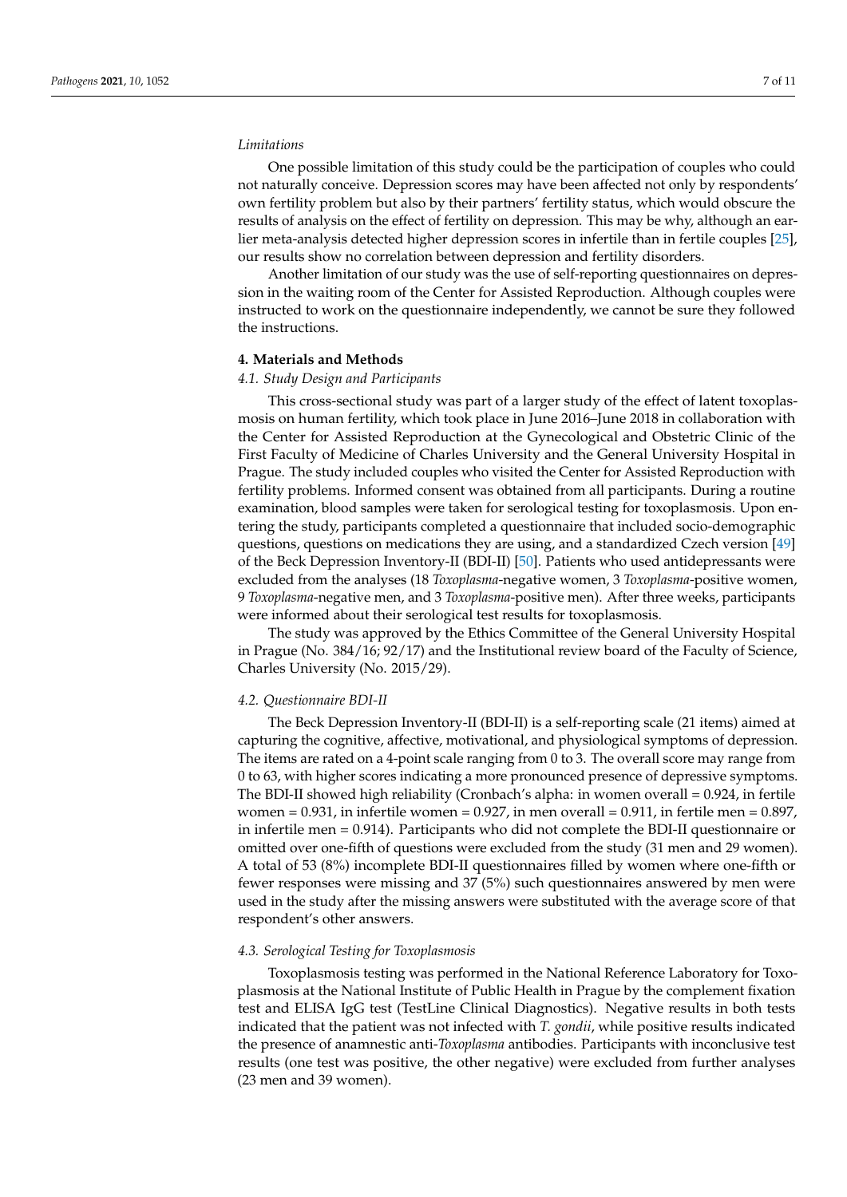#### *Limitations*

One possible limitation of this study could be the participation of couples who could not naturally conceive. Depression scores may have been affected not only by respondents' own fertility problem but also by their partners' fertility status, which would obscure the results of analysis on the effect of fertility on depression. This may be why, although an earlier meta-analysis detected higher depression scores in infertile than in fertile couples [\[25\]](#page-9-1), our results show no correlation between depression and fertility disorders.

Another limitation of our study was the use of self-reporting questionnaires on depression in the waiting room of the Center for Assisted Reproduction. Although couples were instructed to work on the questionnaire independently, we cannot be sure they followed the instructions.

# **4. Materials and Methods**

#### *4.1. Study Design and Participants*

This cross-sectional study was part of a larger study of the effect of latent toxoplasmosis on human fertility, which took place in June 2016–June 2018 in collaboration with the Center for Assisted Reproduction at the Gynecological and Obstetric Clinic of the First Faculty of Medicine of Charles University and the General University Hospital in Prague. The study included couples who visited the Center for Assisted Reproduction with fertility problems. Informed consent was obtained from all participants. During a routine examination, blood samples were taken for serological testing for toxoplasmosis. Upon entering the study, participants completed a questionnaire that included socio-demographic questions, questions on medications they are using, and a standardized Czech version [\[49\]](#page-9-23) of the Beck Depression Inventory-II (BDI-II) [\[50\]](#page-9-24). Patients who used antidepressants were excluded from the analyses (18 *Toxoplasma*-negative women, 3 *Toxoplasma*-positive women, 9 *Toxoplasma*-negative men, and 3 *Toxoplasma*-positive men). After three weeks, participants were informed about their serological test results for toxoplasmosis.

The study was approved by the Ethics Committee of the General University Hospital in Prague (No. 384/16; 92/17) and the Institutional review board of the Faculty of Science, Charles University (No. 2015/29).

#### *4.2. Questionnaire BDI-II*

The Beck Depression Inventory-II (BDI-II) is a self-reporting scale (21 items) aimed at capturing the cognitive, affective, motivational, and physiological symptoms of depression. The items are rated on a 4-point scale ranging from 0 to 3. The overall score may range from 0 to 63, with higher scores indicating a more pronounced presence of depressive symptoms. The BDI-II showed high reliability (Cronbach's alpha: in women overall = 0.924, in fertile women =  $0.931$ , in infertile women =  $0.927$ , in men overall =  $0.911$ , in fertile men =  $0.897$ , in infertile men = 0.914). Participants who did not complete the BDI-II questionnaire or omitted over one-fifth of questions were excluded from the study (31 men and 29 women). A total of 53 (8%) incomplete BDI-II questionnaires filled by women where one-fifth or fewer responses were missing and 37 (5%) such questionnaires answered by men were used in the study after the missing answers were substituted with the average score of that respondent's other answers.

#### *4.3. Serological Testing for Toxoplasmosis*

Toxoplasmosis testing was performed in the National Reference Laboratory for Toxoplasmosis at the National Institute of Public Health in Prague by the complement fixation test and ELISA IgG test (TestLine Clinical Diagnostics). Negative results in both tests indicated that the patient was not infected with *T. gondii*, while positive results indicated the presence of anamnestic anti-*Toxoplasma* antibodies. Participants with inconclusive test results (one test was positive, the other negative) were excluded from further analyses (23 men and 39 women).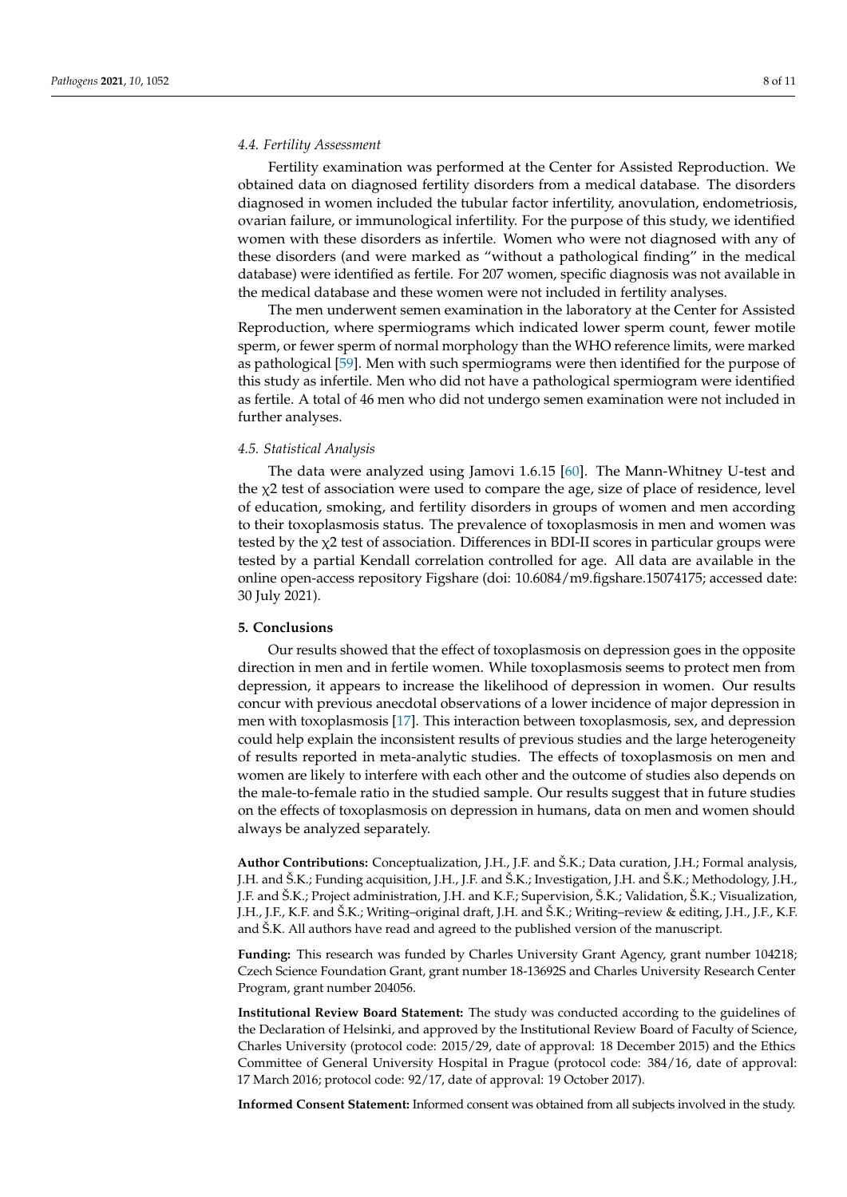### *4.4. Fertility Assessment*

Fertility examination was performed at the Center for Assisted Reproduction. We obtained data on diagnosed fertility disorders from a medical database. The disorders diagnosed in women included the tubular factor infertility, anovulation, endometriosis, ovarian failure, or immunological infertility. For the purpose of this study, we identified women with these disorders as infertile. Women who were not diagnosed with any of these disorders (and were marked as "without a pathological finding" in the medical database) were identified as fertile. For 207 women, specific diagnosis was not available in the medical database and these women were not included in fertility analyses.

The men underwent semen examination in the laboratory at the Center for Assisted Reproduction, where spermiograms which indicated lower sperm count, fewer motile sperm, or fewer sperm of normal morphology than the WHO reference limits, were marked as pathological [\[59\]](#page-10-5). Men with such spermiograms were then identified for the purpose of this study as infertile. Men who did not have a pathological spermiogram were identified as fertile. A total of 46 men who did not undergo semen examination were not included in further analyses.

#### *4.5. Statistical Analysis*

The data were analyzed using Jamovi 1.6.15 [\[60\]](#page-10-6). The Mann-Whitney U-test and the χ2 test of association were used to compare the age, size of place of residence, level of education, smoking, and fertility disorders in groups of women and men according to their toxoplasmosis status. The prevalence of toxoplasmosis in men and women was tested by the  $\chi$ 2 test of association. Differences in BDI-II scores in particular groups were tested by a partial Kendall correlation controlled for age. All data are available in the online open-access repository Figshare (doi: 10.6084/m9.figshare.15074175; accessed date: 30 July 2021).

#### **5. Conclusions**

Our results showed that the effect of toxoplasmosis on depression goes in the opposite direction in men and in fertile women. While toxoplasmosis seems to protect men from depression, it appears to increase the likelihood of depression in women. Our results concur with previous anecdotal observations of a lower incidence of major depression in men with toxoplasmosis [\[17\]](#page-8-14). This interaction between toxoplasmosis, sex, and depression could help explain the inconsistent results of previous studies and the large heterogeneity of results reported in meta-analytic studies. The effects of toxoplasmosis on men and women are likely to interfere with each other and the outcome of studies also depends on the male-to-female ratio in the studied sample. Our results suggest that in future studies on the effects of toxoplasmosis on depression in humans, data on men and women should always be analyzed separately.

**Author Contributions:** Conceptualization, J.H., J.F. and Š.K.; Data curation, J.H.; Formal analysis, J.H. and Š.K.; Funding acquisition, J.H., J.F. and Š.K.; Investigation, J.H. and Š.K.; Methodology, J.H., J.F. and Š.K.; Project administration, J.H. and K.F.; Supervision, Š.K.; Validation, Š.K.; Visualization, J.H., J.F., K.F. and Š.K.; Writing–original draft, J.H. and Š.K.; Writing–review & editing, J.H., J.F., K.F. and Š.K. All authors have read and agreed to the published version of the manuscript.

**Funding:** This research was funded by Charles University Grant Agency, grant number 104218; Czech Science Foundation Grant, grant number 18-13692S and Charles University Research Center Program, grant number 204056.

**Institutional Review Board Statement:** The study was conducted according to the guidelines of the Declaration of Helsinki, and approved by the Institutional Review Board of Faculty of Science, Charles University (protocol code: 2015/29, date of approval: 18 December 2015) and the Ethics Committee of General University Hospital in Prague (protocol code: 384/16, date of approval: 17 March 2016; protocol code: 92/17, date of approval: 19 October 2017).

**Informed Consent Statement:** Informed consent was obtained from all subjects involved in the study.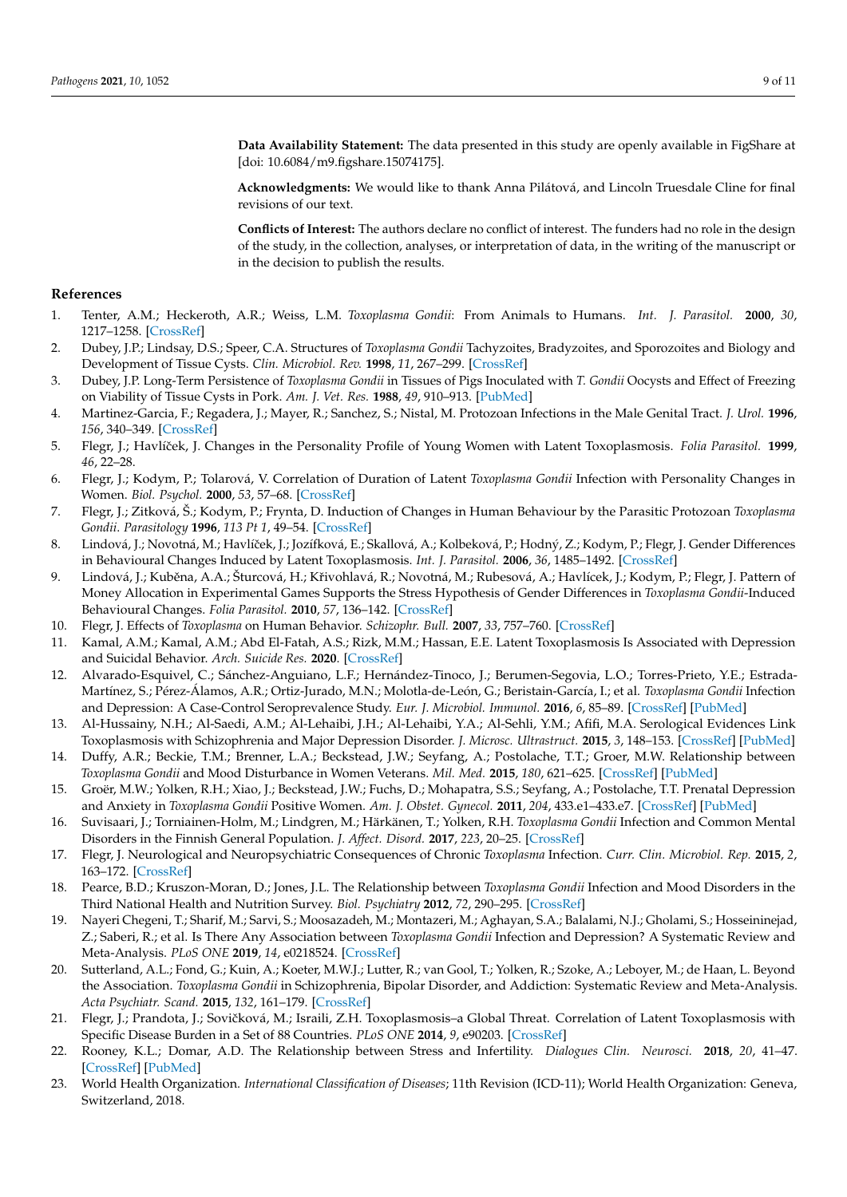**Data Availability Statement:** The data presented in this study are openly available in FigShare at [doi: 10.6084/m9.figshare.15074175].

**Acknowledgments:** We would like to thank Anna Pilátová, and Lincoln Truesdale Cline for final revisions of our text.

**Conflicts of Interest:** The authors declare no conflict of interest. The funders had no role in the design of the study, in the collection, analyses, or interpretation of data, in the writing of the manuscript or in the decision to publish the results.

#### **References**

- <span id="page-8-0"></span>1. Tenter, A.M.; Heckeroth, A.R.; Weiss, L.M. *Toxoplasma Gondii*: From Animals to Humans. *Int. J. Parasitol.* **2000**, *30*, 1217–1258. [\[CrossRef\]](http://doi.org/10.1016/S0020-7519(00)00124-7)
- <span id="page-8-1"></span>2. Dubey, J.P.; Lindsay, D.S.; Speer, C.A. Structures of *Toxoplasma Gondii* Tachyzoites, Bradyzoites, and Sporozoites and Biology and Development of Tissue Cysts. *Clin. Microbiol. Rev.* **1998**, *11*, 267–299. [\[CrossRef\]](http://doi.org/10.1128/CMR.11.2.267)
- <span id="page-8-2"></span>3. Dubey, J.P. Long-Term Persistence of *Toxoplasma Gondii* in Tissues of Pigs Inoculated with *T. Gondii* Oocysts and Effect of Freezing on Viability of Tissue Cysts in Pork. *Am. J. Vet. Res.* **1988**, *49*, 910–913. [\[PubMed\]](http://www.ncbi.nlm.nih.gov/pubmed/3400928)
- <span id="page-8-3"></span>4. Martinez-Garcia, F.; Regadera, J.; Mayer, R.; Sanchez, S.; Nistal, M. Protozoan Infections in the Male Genital Tract. *J. Urol.* **1996**, *156*, 340–349. [\[CrossRef\]](http://doi.org/10.1016/S0022-5347(01)65846-4)
- <span id="page-8-4"></span>5. Flegr, J.; Havlíˇcek, J. Changes in the Personality Profile of Young Women with Latent Toxoplasmosis. *Folia Parasitol.* **1999**, *46*, 22–28.
- <span id="page-8-5"></span>6. Flegr, J.; Kodym, P.; Tolarová, V. Correlation of Duration of Latent *Toxoplasma Gondii* Infection with Personality Changes in Women. *Biol. Psychol.* **2000**, *53*, 57–68. [\[CrossRef\]](http://doi.org/10.1016/S0301-0511(00)00034-X)
- <span id="page-8-6"></span>7. Flegr, J.; Zitková, Š.; Kodym, P.; Frynta, D. Induction of Changes in Human Behaviour by the Parasitic Protozoan *Toxoplasma Gondii*. *Parasitology* **1996**, *113 Pt 1*, 49–54. [\[CrossRef\]](http://doi.org/10.1017/S0031182000066269)
- <span id="page-8-21"></span>8. Lindová, J.; Novotná, M.; Havlíček, J.; Jozífková, E.; Skallová, A.; Kolbeková, P.; Hodný, Z.; Kodym, P.; Flegr, J. Gender Differences in Behavioural Changes Induced by Latent Toxoplasmosis. *Int. J. Parasitol.* **2006**, *36*, 1485–1492. [\[CrossRef\]](http://doi.org/10.1016/j.ijpara.2006.07.008)
- <span id="page-8-22"></span>9. Lindová, J.; Kuběna, A.A.; Šturcová, H.; Křivohlavá, R.; Novotná, M.; Rubesová, A.; Havlícek, J.; Kodym, P.; Flegr, J. Pattern of Money Allocation in Experimental Games Supports the Stress Hypothesis of Gender Differences in *Toxoplasma Gondii*-Induced Behavioural Changes. *Folia Parasitol.* **2010**, *57*, 136–142. [\[CrossRef\]](http://doi.org/10.14411/fp.2010.017)
- <span id="page-8-7"></span>10. Flegr, J. Effects of *Toxoplasma* on Human Behavior. *Schizophr. Bull.* **2007**, *33*, 757–760. [\[CrossRef\]](http://doi.org/10.1093/schbul/sbl074)
- <span id="page-8-8"></span>11. Kamal, A.M.; Kamal, A.M.; Abd El-Fatah, A.S.; Rizk, M.M.; Hassan, E.E. Latent Toxoplasmosis Is Associated with Depression and Suicidal Behavior. *Arch. Suicide Res.* **2020**. [\[CrossRef\]](http://doi.org/10.1080/13811118.2020.1838368)
- <span id="page-8-9"></span>12. Alvarado-Esquivel, C.; Sánchez-Anguiano, L.F.; Hernández-Tinoco, J.; Berumen-Segovia, L.O.; Torres-Prieto, Y.E.; Estrada-Martínez, S.; Pérez-Álamos, A.R.; Ortiz-Jurado, M.N.; Molotla-de-León, G.; Beristain-García, I.; et al. *Toxoplasma Gondii* Infection and Depression: A Case-Control Seroprevalence Study. *Eur. J. Microbiol. Immunol.* **2016**, *6*, 85–89. [\[CrossRef\]](http://doi.org/10.1556/1886.2016.00010) [\[PubMed\]](http://www.ncbi.nlm.nih.gov/pubmed/27429790)
- <span id="page-8-10"></span>13. Al-Hussainy, N.H.; Al-Saedi, A.M.; Al-Lehaibi, J.H.; Al-Lehaibi, Y.A.; Al-Sehli, Y.M.; Afifi, M.A. Serological Evidences Link Toxoplasmosis with Schizophrenia and Major Depression Disorder. *J. Microsc. Ultrastruct.* **2015**, *3*, 148–153. [\[CrossRef\]](http://doi.org/10.1016/j.jmau.2015.03.006) [\[PubMed\]](http://www.ncbi.nlm.nih.gov/pubmed/30023193)
- <span id="page-8-11"></span>14. Duffy, A.R.; Beckie, T.M.; Brenner, L.A.; Beckstead, J.W.; Seyfang, A.; Postolache, T.T.; Groer, M.W. Relationship between *Toxoplasma Gondii* and Mood Disturbance in Women Veterans. *Mil. Med.* **2015**, *180*, 621–625. [\[CrossRef\]](http://doi.org/10.7205/MILMED-D-14-00488) [\[PubMed\]](http://www.ncbi.nlm.nih.gov/pubmed/26032378)
- <span id="page-8-12"></span>15. Groër, M.W.; Yolken, R.H.; Xiao, J.; Beckstead, J.W.; Fuchs, D.; Mohapatra, S.S.; Seyfang, A.; Postolache, T.T. Prenatal Depression and Anxiety in *Toxoplasma Gondii* Positive Women. *Am. J. Obstet. Gynecol.* **2011**, *204*, 433.e1–433.e7. [\[CrossRef\]](http://doi.org/10.1016/j.ajog.2011.01.004) [\[PubMed\]](http://www.ncbi.nlm.nih.gov/pubmed/21345406)
- <span id="page-8-13"></span>16. Suvisaari, J.; Torniainen-Holm, M.; Lindgren, M.; Härkänen, T.; Yolken, R.H. *Toxoplasma Gondii* Infection and Common Mental Disorders in the Finnish General Population. *J. Affect. Disord.* **2017**, *223*, 20–25. [\[CrossRef\]](http://doi.org/10.1016/j.jad.2017.07.020)
- <span id="page-8-14"></span>17. Flegr, J. Neurological and Neuropsychiatric Consequences of Chronic *Toxoplasma* Infection. *Curr. Clin. Microbiol. Rep.* **2015**, *2*, 163–172. [\[CrossRef\]](http://doi.org/10.1007/s40588-015-0024-0)
- <span id="page-8-15"></span>18. Pearce, B.D.; Kruszon-Moran, D.; Jones, J.L. The Relationship between *Toxoplasma Gondii* Infection and Mood Disorders in the Third National Health and Nutrition Survey. *Biol. Psychiatry* **2012**, *72*, 290–295. [\[CrossRef\]](http://doi.org/10.1016/j.biopsych.2012.01.003)
- <span id="page-8-16"></span>19. Nayeri Chegeni, T.; Sharif, M.; Sarvi, S.; Moosazadeh, M.; Montazeri, M.; Aghayan, S.A.; Balalami, N.J.; Gholami, S.; Hosseininejad, Z.; Saberi, R.; et al. Is There Any Association between *Toxoplasma Gondii* Infection and Depression? A Systematic Review and Meta-Analysis. *PLoS ONE* **2019**, *14*, e0218524. [\[CrossRef\]](http://doi.org/10.1371/journal.pone.0218524)
- <span id="page-8-17"></span>20. Sutterland, A.L.; Fond, G.; Kuin, A.; Koeter, M.W.J.; Lutter, R.; van Gool, T.; Yolken, R.; Szoke, A.; Leboyer, M.; de Haan, L. Beyond the Association. *Toxoplasma Gondii* in Schizophrenia, Bipolar Disorder, and Addiction: Systematic Review and Meta-Analysis. *Acta Psychiatr. Scand.* **2015**, *132*, 161–179. [\[CrossRef\]](http://doi.org/10.1111/acps.12423)
- <span id="page-8-18"></span>21. Flegr, J.; Prandota, J.; Sovičková, M.; Israili, Z.H. Toxoplasmosis-a Global Threat. Correlation of Latent Toxoplasmosis with Specific Disease Burden in a Set of 88 Countries. *PLoS ONE* **2014**, *9*, e90203. [\[CrossRef\]](http://doi.org/10.1371/journal.pone.0090203)
- <span id="page-8-19"></span>22. Rooney, K.L.; Domar, A.D. The Relationship between Stress and Infertility. *Dialogues Clin. Neurosci.* **2018**, *20*, 41–47. [\[CrossRef\]](http://doi.org/10.31887/DCNS.2018.20.1/klrooney) [\[PubMed\]](http://www.ncbi.nlm.nih.gov/pubmed/29946210)
- <span id="page-8-20"></span>23. World Health Organization. *International Classification of Diseases*; 11th Revision (ICD-11); World Health Organization: Geneva, Switzerland, 2018.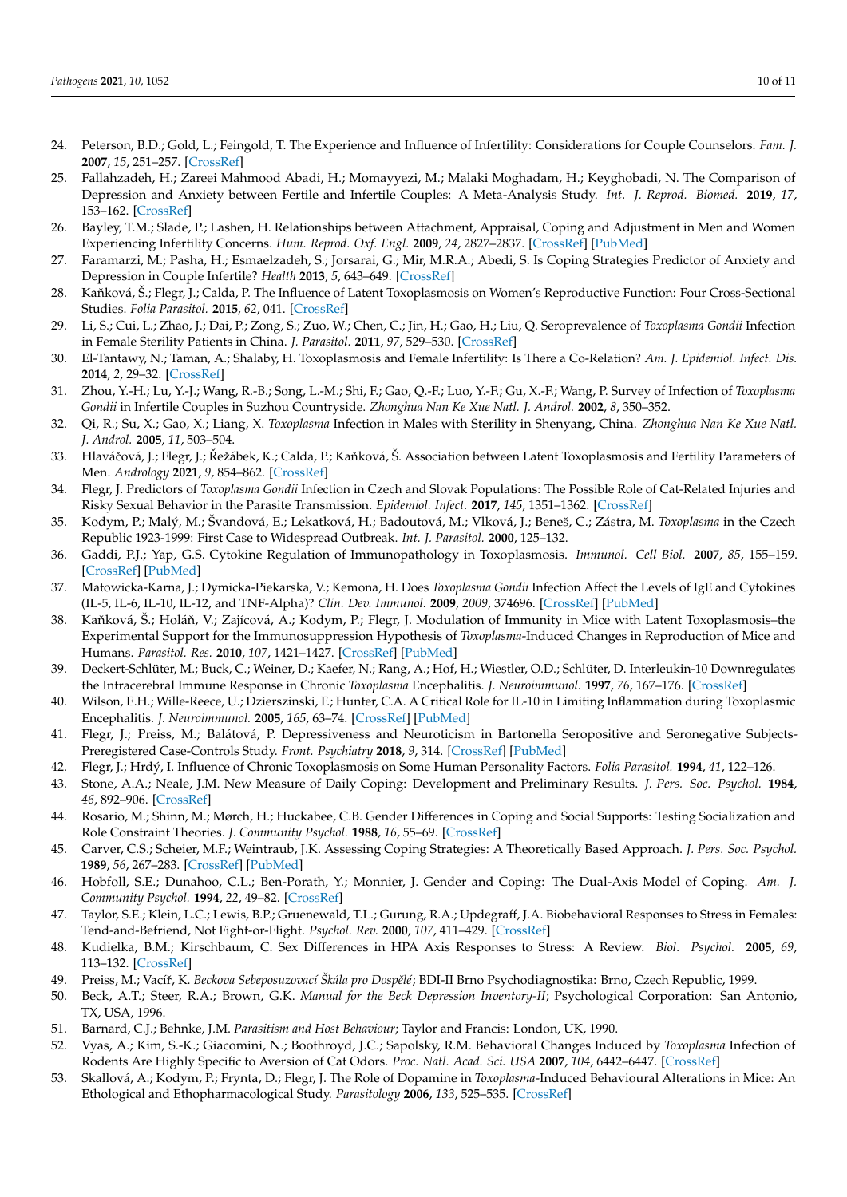- <span id="page-9-0"></span>24. Peterson, B.D.; Gold, L.; Feingold, T. The Experience and Influence of Infertility: Considerations for Couple Counselors. *Fam. J.* **2007**, *15*, 251–257. [\[CrossRef\]](http://doi.org/10.1177/1066480707301365)
- <span id="page-9-1"></span>25. Fallahzadeh, H.; Zareei Mahmood Abadi, H.; Momayyezi, M.; Malaki Moghadam, H.; Keyghobadi, N. The Comparison of Depression and Anxiety between Fertile and Infertile Couples: A Meta-Analysis Study. *Int. J. Reprod. Biomed.* **2019**, *17*, 153–162. [\[CrossRef\]](http://doi.org/10.18502/ijrm.v17i3.4514)
- <span id="page-9-2"></span>26. Bayley, T.M.; Slade, P.; Lashen, H. Relationships between Attachment, Appraisal, Coping and Adjustment in Men and Women Experiencing Infertility Concerns. *Hum. Reprod. Oxf. Engl.* **2009**, *24*, 2827–2837. [\[CrossRef\]](http://doi.org/10.1093/humrep/dep235) [\[PubMed\]](http://www.ncbi.nlm.nih.gov/pubmed/19666931)
- <span id="page-9-3"></span>27. Faramarzi, M.; Pasha, H.; Esmaelzadeh, S.; Jorsarai, G.; Mir, M.R.A.; Abedi, S. Is Coping Strategies Predictor of Anxiety and Depression in Couple Infertile? *Health* **2013**, *5*, 643–649. [\[CrossRef\]](http://doi.org/10.4236/health.2013.53A085)
- <span id="page-9-4"></span>28. Kaňková, Š.; Flegr, J.; Calda, P. The Influence of Latent Toxoplasmosis on Women's Reproductive Function: Four Cross-Sectional Studies. *Folia Parasitol.* **2015**, *62*, 041. [\[CrossRef\]](http://doi.org/10.14411/fp.2015.041)
- <span id="page-9-5"></span>29. Li, S.; Cui, L.; Zhao, J.; Dai, P.; Zong, S.; Zuo, W.; Chen, C.; Jin, H.; Gao, H.; Liu, Q. Seroprevalence of *Toxoplasma Gondii* Infection in Female Sterility Patients in China. *J. Parasitol.* **2011**, *97*, 529–530. [\[CrossRef\]](http://doi.org/10.1645/GE-2680.1)
- <span id="page-9-6"></span>30. El-Tantawy, N.; Taman, A.; Shalaby, H. Toxoplasmosis and Female Infertility: Is There a Co-Relation? *Am. J. Epidemiol. Infect. Dis.* **2014**, *2*, 29–32. [\[CrossRef\]](http://doi.org/10.12691/ajeid-2-1-6)
- <span id="page-9-7"></span>31. Zhou, Y.-H.; Lu, Y.-J.; Wang, R.-B.; Song, L.-M.; Shi, F.; Gao, Q.-F.; Luo, Y.-F.; Gu, X.-F.; Wang, P. Survey of Infection of *Toxoplasma Gondii* in Infertile Couples in Suzhou Countryside. *Zhonghua Nan Ke Xue Natl. J. Androl.* **2002**, *8*, 350–352.
- <span id="page-9-8"></span>32. Qi, R.; Su, X.; Gao, X.; Liang, X. *Toxoplasma* Infection in Males with Sterility in Shenyang, China. *Zhonghua Nan Ke Xue Natl. J. Androl.* **2005**, *11*, 503–504.
- <span id="page-9-9"></span>33. Hlaváčová, J.; Flegr, J.; Řežábek, K.; Calda, P.; Kaňková, Š. Association between Latent Toxoplasmosis and Fertility Parameters of Men. *Andrology* **2021**, *9*, 854–862. [\[CrossRef\]](http://doi.org/10.1111/andr.12969)
- <span id="page-9-10"></span>34. Flegr, J. Predictors of *Toxoplasma Gondii* Infection in Czech and Slovak Populations: The Possible Role of Cat-Related Injuries and Risky Sexual Behavior in the Parasite Transmission. *Epidemiol. Infect.* **2017**, *145*, 1351–1362. [\[CrossRef\]](http://doi.org/10.1017/S095026881700019X)
- <span id="page-9-11"></span>35. Kodym, P.; Malý, M.; Švandová, E.; Lekatková, H.; Badoutová, M.; Vlková, J.; Beneš, C.; Zástra, M. *Toxoplasma* in the Czech Republic 1923-1999: First Case to Widespread Outbreak. *Int. J. Parasitol.* **2000**, 125–132.
- <span id="page-9-12"></span>36. Gaddi, P.J.; Yap, G.S. Cytokine Regulation of Immunopathology in Toxoplasmosis. *Immunol. Cell Biol.* **2007**, *85*, 155–159. [\[CrossRef\]](http://doi.org/10.1038/sj.icb.7100038) [\[PubMed\]](http://www.ncbi.nlm.nih.gov/pubmed/17228318)
- 37. Matowicka-Karna, J.; Dymicka-Piekarska, V.; Kemona, H. Does *Toxoplasma Gondii* Infection Affect the Levels of IgE and Cytokines (IL-5, IL-6, IL-10, IL-12, and TNF-Alpha)? *Clin. Dev. Immunol.* **2009**, *2009*, 374696. [\[CrossRef\]](http://doi.org/10.1155/2009/374696) [\[PubMed\]](http://www.ncbi.nlm.nih.gov/pubmed/19478959)
- <span id="page-9-13"></span>38. Kaňková, Š.; Holáň, V.; Zajícová, A.; Kodym, P.; Flegr, J. Modulation of Immunity in Mice with Latent Toxoplasmosis–the Experimental Support for the Immunosuppression Hypothesis of *Toxoplasma*-Induced Changes in Reproduction of Mice and Humans. *Parasitol. Res.* **2010**, *107*, 1421–1427. [\[CrossRef\]](http://doi.org/10.1007/s00436-010-2013-9) [\[PubMed\]](http://www.ncbi.nlm.nih.gov/pubmed/20721578)
- <span id="page-9-14"></span>39. Deckert-Schlüter, M.; Buck, C.; Weiner, D.; Kaefer, N.; Rang, A.; Hof, H.; Wiestler, O.D.; Schlüter, D. Interleukin-10 Downregulates the Intracerebral Immune Response in Chronic *Toxoplasma* Encephalitis. *J. Neuroimmunol.* **1997**, *76*, 167–176. [\[CrossRef\]](http://doi.org/10.1016/S0165-5728(97)00047-7)
- <span id="page-9-15"></span>40. Wilson, E.H.; Wille-Reece, U.; Dzierszinski, F.; Hunter, C.A. A Critical Role for IL-10 in Limiting Inflammation during Toxoplasmic Encephalitis. *J. Neuroimmunol.* **2005**, *165*, 63–74. [\[CrossRef\]](http://doi.org/10.1016/j.jneuroim.2005.04.018) [\[PubMed\]](http://www.ncbi.nlm.nih.gov/pubmed/16005735)
- <span id="page-9-16"></span>41. Flegr, J.; Preiss, M.; Balátová, P. Depressiveness and Neuroticism in Bartonella Seropositive and Seronegative Subjects-Preregistered Case-Controls Study. *Front. Psychiatry* **2018**, *9*, 314. [\[CrossRef\]](http://doi.org/10.3389/fpsyt.2018.00314) [\[PubMed\]](http://www.ncbi.nlm.nih.gov/pubmed/30061846)
- <span id="page-9-17"></span>42. Flegr, J.; Hrdý, I. Influence of Chronic Toxoplasmosis on Some Human Personality Factors. *Folia Parasitol.* **1994**, *41*, 122–126.
- <span id="page-9-18"></span>43. Stone, A.A.; Neale, J.M. New Measure of Daily Coping: Development and Preliminary Results. *J. Pers. Soc. Psychol.* **1984**, *46*, 892–906. [\[CrossRef\]](http://doi.org/10.1037/0022-3514.46.4.892)
- 44. Rosario, M.; Shinn, M.; Mørch, H.; Huckabee, C.B. Gender Differences in Coping and Social Supports: Testing Socialization and Role Constraint Theories. *J. Community Psychol.* **1988**, *16*, 55–69. [\[CrossRef\]](http://doi.org/10.1002/1520-6629(198801)16:1<55::AID-JCOP2290160108>3.0.CO;2-U)
- <span id="page-9-19"></span>45. Carver, C.S.; Scheier, M.F.; Weintraub, J.K. Assessing Coping Strategies: A Theoretically Based Approach. *J. Pers. Soc. Psychol.* **1989**, *56*, 267–283. [\[CrossRef\]](http://doi.org/10.1037/0022-3514.56.2.267) [\[PubMed\]](http://www.ncbi.nlm.nih.gov/pubmed/2926629)
- <span id="page-9-20"></span>46. Hobfoll, S.E.; Dunahoo, C.L.; Ben-Porath, Y.; Monnier, J. Gender and Coping: The Dual-Axis Model of Coping. *Am. J. Community Psychol.* **1994**, *22*, 49–82. [\[CrossRef\]](http://doi.org/10.1007/BF02506817)
- <span id="page-9-21"></span>47. Taylor, S.E.; Klein, L.C.; Lewis, B.P.; Gruenewald, T.L.; Gurung, R.A.; Updegraff, J.A. Biobehavioral Responses to Stress in Females: Tend-and-Befriend, Not Fight-or-Flight. *Psychol. Rev.* **2000**, *107*, 411–429. [\[CrossRef\]](http://doi.org/10.1037/0033-295X.107.3.411)
- <span id="page-9-22"></span>48. Kudielka, B.M.; Kirschbaum, C. Sex Differences in HPA Axis Responses to Stress: A Review. *Biol. Psychol.* **2005**, *69*, 113–132. [\[CrossRef\]](http://doi.org/10.1016/j.biopsycho.2004.11.009)
- <span id="page-9-23"></span>49. Preiss, M.; Vacíˇr, K. *Beckova Sebeposuzovací Škála pro Dospˇelé*; BDI-II Brno Psychodiagnostika: Brno, Czech Republic, 1999.
- <span id="page-9-24"></span>50. Beck, A.T.; Steer, R.A.; Brown, G.K. *Manual for the Beck Depression Inventory-II*; Psychological Corporation: San Antonio, TX, USA, 1996.
- <span id="page-9-25"></span>51. Barnard, C.J.; Behnke, J.M. *Parasitism and Host Behaviour*; Taylor and Francis: London, UK, 1990.
- <span id="page-9-26"></span>52. Vyas, A.; Kim, S.-K.; Giacomini, N.; Boothroyd, J.C.; Sapolsky, R.M. Behavioral Changes Induced by *Toxoplasma* Infection of Rodents Are Highly Specific to Aversion of Cat Odors. *Proc. Natl. Acad. Sci. USA* **2007**, *104*, 6442–6447. [\[CrossRef\]](http://doi.org/10.1073/pnas.0608310104)
- 53. Skallová, A.; Kodym, P.; Frynta, D.; Flegr, J. The Role of Dopamine in *Toxoplasma*-Induced Behavioural Alterations in Mice: An Ethological and Ethopharmacological Study. *Parasitology* **2006**, *133*, 525–535. [\[CrossRef\]](http://doi.org/10.1017/S0031182006000886)